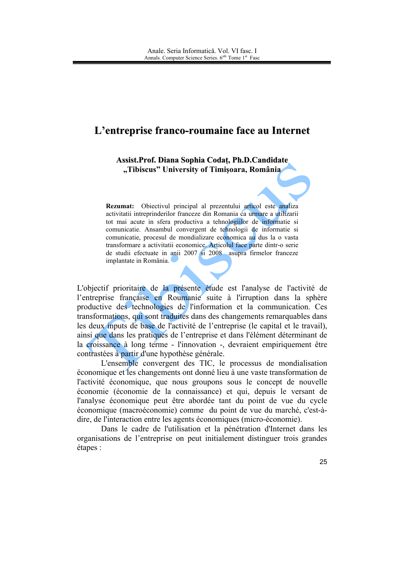## L'entreprise franco-roumaine face au Internet

Assist. Prof. Diana Sophia Codat. Ph.D. Candidate "Tibiscus" University of Timisoara, România

Rezumat: Obiectivul principal al prezentului articol este analiza activitatii intreprinderilor franceze din Romania ca urmare a utilizarii tot mai acute in sfera productiva a tehnologiilor de informatie si comunicatie. Ansambul convergent de tehnologii de informatie si comunicatie, procesul de mondializare economica au dus la o vasta transformare a activitatii economice. Articolul face parte dintr-o serie de studii efectuate in anii 2007 si 2008 asupra firmelor franceze implantate in România.

L'objectif prioritaire de la présente étude est l'analyse de l'activité de l'entreprise française en Roumanie suite à l'irruption dans la sphère productive des technologies de l'information et la communication. Ces transformations, qui sont traduites dans des changements remarquables dans les deux inputs de base de l'activité de l'entreprise (le capital et le travail), ainsi que dans les pratiques de l'entreprise et dans l'élément déterminant de la croissance à long terme - l'innovation -, devraient empiriquement être contrastées à partir d'une hypothèse générale.

L'ensemble convergent des TIC, le processus de mondialisation économique et les changements ont donné lieu à une vaste transformation de l'activité économique, que nous groupons sous le concept de nouvelle économie (économie de la connaissance) et qui, depuis le versant de l'analyse économique peut être abordée tant du point de vue du cycle économique (macroéconomie) comme du point de vue du marché, c'est-àdire, de l'interaction entre les agents économiques (micro-économie).

Dans le cadre de l'utilisation et la pénétration d'Internet dans les organisations de l'entreprise on peut initialement distinguer trois grandes étapes :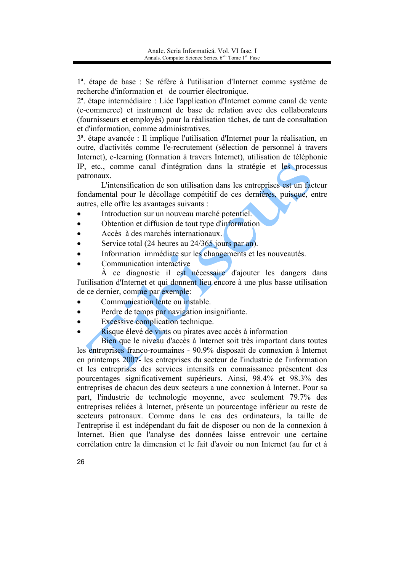1<sup>ª</sup>. étape de base : Se réfère à l'utilisation d'Internet comme système de recherche d'information et de courrier électronique.

2<sup>ª</sup>. étape intermédiaire : Liée l'application d'Internet comme canal de vente (e-commerce) et instrument de base de relation avec des collaborateurs (fournisseurs et employés) pour la réalisation tâches, de tant de consultation et d'information, comme administratives.

3<sup>a</sup>. étape avancée : Il implique l'utilisation d'Internet pour la réalisation, en outre, d'activités comme l'e-recrutement (sélection de personnel à travers Internet), e-learning (formation à travers Internet), utilisation de téléphonie IP, etc., comme canal d'intégration dans la stratégie et les processus patronaux.

L'intensification de son utilisation dans les entreprises est un facteur fondamental pour le décollage compétitif de ces dernières, puisque, entre autres, elle offre les avantages suivants :

- Introduction sur un nouveau marché potentiel.
- Obtention et diffusion de tout type d'information  $\blacksquare$
- Accès à des marchés internationaux.  $\bullet$
- Service total (24 heures au 24/365 jours par an).
- Information immédiate sur les changements et les nouveautés.
- Communication interactive

À ce diagnostic il est nécessaire d'ajouter les dangers dans l'utilisation d'Internet et qui donnent lieu encore à une plus basse utilisation de ce dernier, comme par exemple:

- Communication lente ou instable.  $\bullet$
- Perdre de temps par navigation insignifiante.  $\bullet$
- Excessive complication technique.
	- Risque élevé de virus ou pirates avec accès à information

Bien que le niveau d'accès à Internet soit très important dans toutes les entreprises franco-roumaines - 90.9% disposait de connexion à Internet en printemps 2007- les entreprises du secteur de l'industrie de l'information et les entreprisés des services intensifs en connaissance présentent des pourcentages significativement supérieurs. Ainsi, 98.4% et 98.3% des entreprises de chacun des deux secteurs a une connexion à Internet. Pour sa part, l'industrie de technologie moyenne, avec seulement 79.7% des entreprises reliées à Internet, présente un pourcentage inférieur au reste de secteurs patronaux. Comme dans le cas des ordinateurs, la taille de l'entreprise il est indépendant du fait de disposer ou non de la connexion à Internet. Bien que l'analyse des données laisse entrevoir une certaine corrélation entre la dimension et le fait d'avoir ou non Internet (au fur et à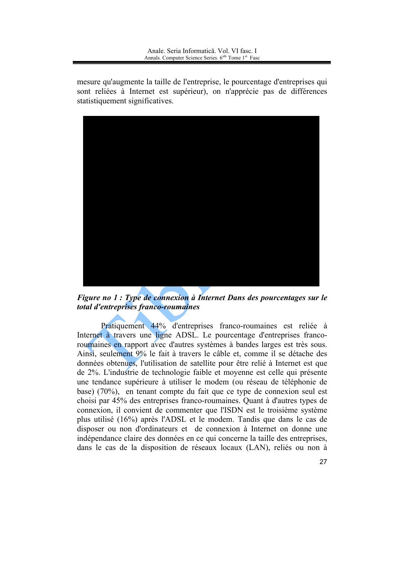mesure qu'augmente la taille de l'entreprise, le pourcentage d'entreprises qui sont reliées à Internet est supérieur), on n'apprécie pas de différences statistiquement significatives.



Figure no 1 : Type de connexion à Internet Dans des pourcentages sur le total d'entreprises franco-roumaines

Pratiquement 44% d'entreprises franco-roumaines est reliée à Internet à travers une ligne ADSL. Le pourcentage d'entreprises francoroumaines en rapport avec d'autres systèmes à bandes larges est très sous. Ainsi, seulement 9% le fait à travers le câble et, comme il se détache des données obtenues, l'utilisation de satellite pour être relié à Internet est que de 2%. L'industrie de technologie faible et moyenne est celle qui présente une tendance supérieure à utiliser le modem (ou réseau de téléphonie de base) (70%), en tenant compte du fait que ce type de connexion seul est choisi par 45% des entreprises franco-roumaines. Quant à d'autres types de connexion, il convient de commenter que l'ISDN est le troisième système plus utilisé (16%) après l'ADSL et le modem. Tandis que dans le cas de disposer ou non d'ordinateurs et de connexion à Internet on donne une indépendance claire des données en ce qui concerne la taille des entreprises, dans le cas de la disposition de réseaux locaux (LAN), reliés ou non à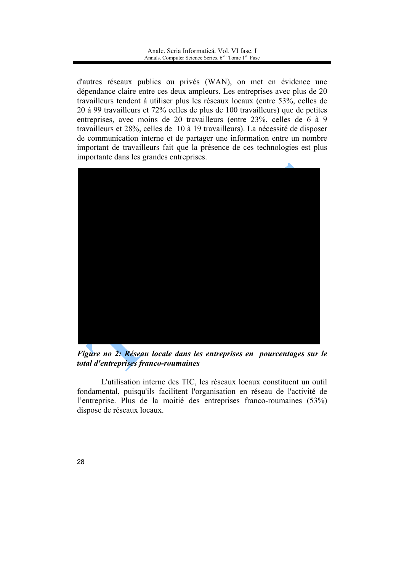d'autres réseaux publics ou privés (WAN), on met en évidence une dépendance claire entre ces deux ampleurs. Les entreprises avec plus de 20 travailleurs tendent à utiliser plus les réseaux locaux (entre 53%, celles de 20 à 99 travailleurs et 72% celles de plus de 100 travailleurs) que de petites entreprises, avec moins de 20 travailleurs (entre 23%, celles de 6 à 9 travailleurs et 28%, celles de 10 à 19 travailleurs). La nécessité de disposer de communication interne et de partager une information entre un nombre important de travailleurs fait que la présence de ces technologies est plus importante dans les grandes entreprises.



Figure no 2: Réseau locale dans les entreprises en pourcentages sur le total d'entreprises franco-roumaines

L'utilisation interne des TIC, les réseaux locaux constituent un outil fondamental, puisqu'ils facilitent l'organisation en réseau de l'activité de l'entreprise. Plus de la moitié des entreprises franco-roumaines (53%) dispose de réseaux locaux.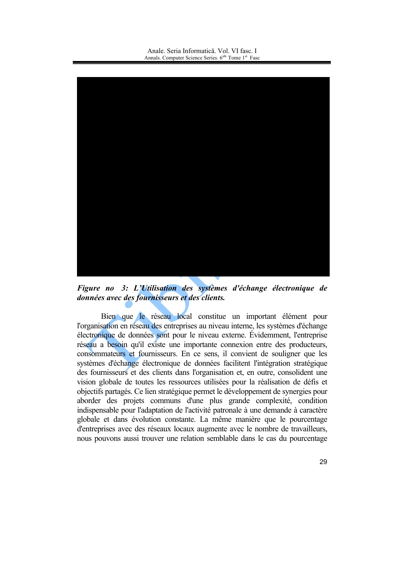

Figure no 3: L'Utilisation des systèmes d'échange électronique de données avec des fournisseurs et des clients.

Bien que le réseau local constitue un important élément pour l'organisation en réseau des entreprises au niveau interne, les systèmes d'échange électronique de données sont pour le niveau externe. Évidemment, l'entreprise réseau a besoin qu'il existe une importante connexion entre des producteurs, consommateurs et fournisseurs. En ce sens, il convient de souligner que les systèmes d'échange électronique de données facilitent l'intégration stratégique des fournisseurs et des clients dans l'organisation et, en outre, consolident une vision globale de toutes les ressources utilisées pour la réalisation de défis et objectifs partagés. Ce lien stratégique permet le développement de synergies pour aborder des projets communs d'une plus grande complexité, condition indispensable pour l'adaptation de l'activité patronale à une demande à caractère globale et dans évolution constante. La même manière que le pourcentage d'entreprises avec des réseaux locaux augmente avec le nombre de travailleurs, nous pouvons aussi trouver une relation semblable dans le cas du pourcentage